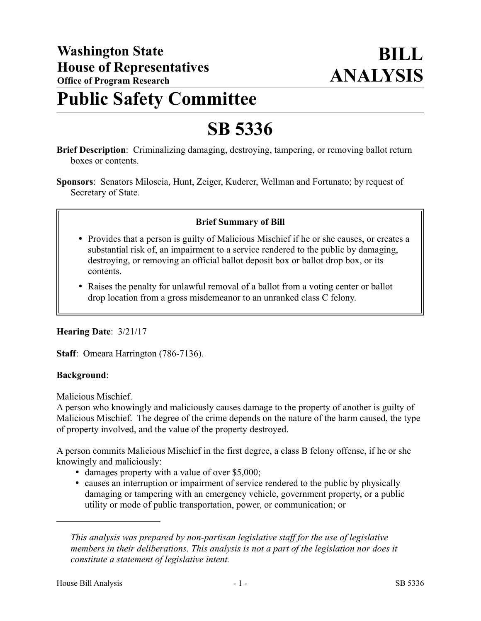# **Public Safety Committee**

# **SB 5336**

- **Brief Description**: Criminalizing damaging, destroying, tampering, or removing ballot return boxes or contents.
- **Sponsors**: Senators Miloscia, Hunt, Zeiger, Kuderer, Wellman and Fortunato; by request of Secretary of State.

# **Brief Summary of Bill**

- Provides that a person is guilty of Malicious Mischief if he or she causes, or creates a substantial risk of, an impairment to a service rendered to the public by damaging, destroying, or removing an official ballot deposit box or ballot drop box, or its contents.
- Raises the penalty for unlawful removal of a ballot from a voting center or ballot drop location from a gross misdemeanor to an unranked class C felony.

# **Hearing Date**: 3/21/17

**Staff**: Omeara Harrington (786-7136).

# **Background**:

Malicious Mischief.

A person who knowingly and maliciously causes damage to the property of another is guilty of Malicious Mischief. The degree of the crime depends on the nature of the harm caused, the type of property involved, and the value of the property destroyed.

A person commits Malicious Mischief in the first degree, a class B felony offense, if he or she knowingly and maliciously:

- damages property with a value of over \$5,000;
- causes an interruption or impairment of service rendered to the public by physically damaging or tampering with an emergency vehicle, government property, or a public utility or mode of public transportation, power, or communication; or

––––––––––––––––––––––

*This analysis was prepared by non-partisan legislative staff for the use of legislative members in their deliberations. This analysis is not a part of the legislation nor does it constitute a statement of legislative intent.*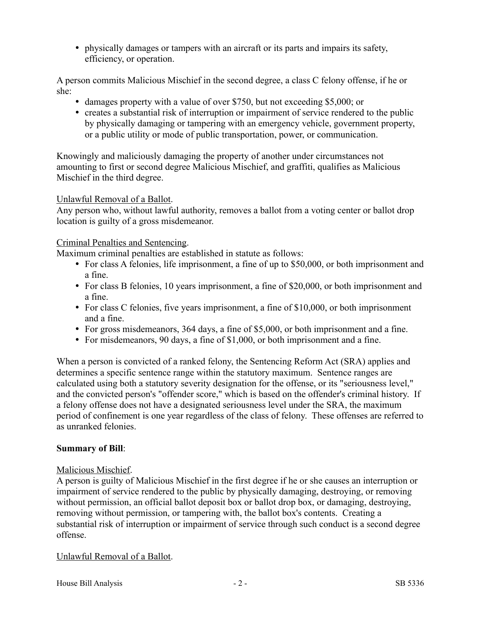physically damages or tampers with an aircraft or its parts and impairs its safety, efficiency, or operation.

A person commits Malicious Mischief in the second degree, a class C felony offense, if he or she:

- damages property with a value of over \$750, but not exceeding \$5,000; or
- creates a substantial risk of interruption or impairment of service rendered to the public by physically damaging or tampering with an emergency vehicle, government property, or a public utility or mode of public transportation, power, or communication.

Knowingly and maliciously damaging the property of another under circumstances not amounting to first or second degree Malicious Mischief, and graffiti, qualifies as Malicious Mischief in the third degree.

#### Unlawful Removal of a Ballot.

Any person who, without lawful authority, removes a ballot from a voting center or ballot drop location is guilty of a gross misdemeanor.

#### Criminal Penalties and Sentencing.

Maximum criminal penalties are established in statute as follows:

- For class A felonies, life imprisonment, a fine of up to \$50,000, or both imprisonment and a fine.
- For class B felonies, 10 years imprisonment, a fine of \$20,000, or both imprisonment and a fine.
- For class C felonies, five years imprisonment, a fine of \$10,000, or both imprisonment and a fine.
- For gross misdemeanors, 364 days, a fine of \$5,000, or both imprisonment and a fine.
- For misdemeanors, 90 days, a fine of \$1,000, or both imprisonment and a fine.

When a person is convicted of a ranked felony, the Sentencing Reform Act (SRA) applies and determines a specific sentence range within the statutory maximum. Sentence ranges are calculated using both a statutory severity designation for the offense, or its "seriousness level," and the convicted person's "offender score," which is based on the offender's criminal history. If a felony offense does not have a designated seriousness level under the SRA, the maximum period of confinement is one year regardless of the class of felony. These offenses are referred to as unranked felonies.

# **Summary of Bill**:

# Malicious Mischief.

A person is guilty of Malicious Mischief in the first degree if he or she causes an interruption or impairment of service rendered to the public by physically damaging, destroying, or removing without permission, an official ballot deposit box or ballot drop box, or damaging, destroying, removing without permission, or tampering with, the ballot box's contents. Creating a substantial risk of interruption or impairment of service through such conduct is a second degree offense.

# Unlawful Removal of a Ballot.